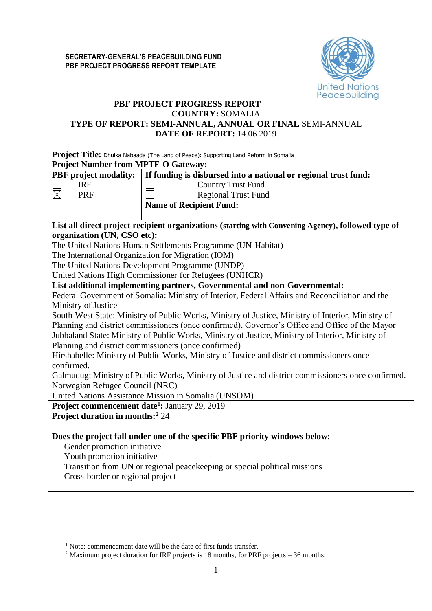

# **PBF PROJECT PROGRESS REPORT**

## **COUNTRY:** SOMALIA

## **TYPE OF REPORT: SEMI-ANNUAL, ANNUAL OR FINAL** SEMI-ANNUAL **DATE OF REPORT:** 14.06.2019

| If funding is disbursed into a national or regional trust fund:<br><b>PBF</b> project modality:<br><b>IRF</b><br><b>Country Trust Fund</b><br>$\boxtimes$<br><b>PRF</b><br><b>Regional Trust Fund</b><br><b>Name of Recipient Fund:</b><br>List all direct project recipient organizations (starting with Convening Agency), followed type of<br>organization (UN, CSO etc):<br>The United Nations Human Settlements Programme (UN-Habitat)<br>The International Organization for Migration (IOM)<br>The United Nations Development Programme (UNDP)<br>United Nations High Commissioner for Refugees (UNHCR)<br>List additional implementing partners, Governmental and non-Governmental:<br>Federal Government of Somalia: Ministry of Interior, Federal Affairs and Reconciliation and the<br>Ministry of Justice<br>South-West State: Ministry of Public Works, Ministry of Justice, Ministry of Interior, Ministry of<br>Planning and district commissioners (once confirmed), Governor's Office and Office of the Mayor<br>Jubbaland State: Ministry of Public Works, Ministry of Justice, Ministry of Interior, Ministry of<br>Planning and district commissioners (once confirmed)<br>Hirshabelle: Ministry of Public Works, Ministry of Justice and district commissioners once<br>confirmed.<br>Galmudug: Ministry of Public Works, Ministry of Justice and district commissioners once confirmed.<br>Norwegian Refugee Council (NRC)<br>United Nations Assistance Mission in Somalia (UNSOM)<br>Project commencement date <sup>1</sup> : January 29, 2019<br>Project duration in months: <sup>2</sup> 24<br>Does the project fall under one of the specific PBF priority windows below:<br>Gender promotion initiative<br>Youth promotion initiative<br>Transition from UN or regional peacekeeping or special political missions<br>Cross-border or regional project |                                            | Project Title: Dhulka Nabaada (The Land of Peace): Supporting Land Reform in Somalia |  |  |  |  |  |  |
|----------------------------------------------------------------------------------------------------------------------------------------------------------------------------------------------------------------------------------------------------------------------------------------------------------------------------------------------------------------------------------------------------------------------------------------------------------------------------------------------------------------------------------------------------------------------------------------------------------------------------------------------------------------------------------------------------------------------------------------------------------------------------------------------------------------------------------------------------------------------------------------------------------------------------------------------------------------------------------------------------------------------------------------------------------------------------------------------------------------------------------------------------------------------------------------------------------------------------------------------------------------------------------------------------------------------------------------------------------------------------------------------------------------------------------------------------------------------------------------------------------------------------------------------------------------------------------------------------------------------------------------------------------------------------------------------------------------------------------------------------------------------------------------------------------------------------------------------------------------------------------|--------------------------------------------|--------------------------------------------------------------------------------------|--|--|--|--|--|--|
|                                                                                                                                                                                                                                                                                                                                                                                                                                                                                                                                                                                                                                                                                                                                                                                                                                                                                                                                                                                                                                                                                                                                                                                                                                                                                                                                                                                                                                                                                                                                                                                                                                                                                                                                                                                                                                                                                  | <b>Project Number from MPTF-O Gateway:</b> |                                                                                      |  |  |  |  |  |  |
|                                                                                                                                                                                                                                                                                                                                                                                                                                                                                                                                                                                                                                                                                                                                                                                                                                                                                                                                                                                                                                                                                                                                                                                                                                                                                                                                                                                                                                                                                                                                                                                                                                                                                                                                                                                                                                                                                  |                                            |                                                                                      |  |  |  |  |  |  |
|                                                                                                                                                                                                                                                                                                                                                                                                                                                                                                                                                                                                                                                                                                                                                                                                                                                                                                                                                                                                                                                                                                                                                                                                                                                                                                                                                                                                                                                                                                                                                                                                                                                                                                                                                                                                                                                                                  |                                            |                                                                                      |  |  |  |  |  |  |
|                                                                                                                                                                                                                                                                                                                                                                                                                                                                                                                                                                                                                                                                                                                                                                                                                                                                                                                                                                                                                                                                                                                                                                                                                                                                                                                                                                                                                                                                                                                                                                                                                                                                                                                                                                                                                                                                                  |                                            |                                                                                      |  |  |  |  |  |  |
|                                                                                                                                                                                                                                                                                                                                                                                                                                                                                                                                                                                                                                                                                                                                                                                                                                                                                                                                                                                                                                                                                                                                                                                                                                                                                                                                                                                                                                                                                                                                                                                                                                                                                                                                                                                                                                                                                  |                                            |                                                                                      |  |  |  |  |  |  |
|                                                                                                                                                                                                                                                                                                                                                                                                                                                                                                                                                                                                                                                                                                                                                                                                                                                                                                                                                                                                                                                                                                                                                                                                                                                                                                                                                                                                                                                                                                                                                                                                                                                                                                                                                                                                                                                                                  |                                            |                                                                                      |  |  |  |  |  |  |
|                                                                                                                                                                                                                                                                                                                                                                                                                                                                                                                                                                                                                                                                                                                                                                                                                                                                                                                                                                                                                                                                                                                                                                                                                                                                                                                                                                                                                                                                                                                                                                                                                                                                                                                                                                                                                                                                                  |                                            |                                                                                      |  |  |  |  |  |  |
|                                                                                                                                                                                                                                                                                                                                                                                                                                                                                                                                                                                                                                                                                                                                                                                                                                                                                                                                                                                                                                                                                                                                                                                                                                                                                                                                                                                                                                                                                                                                                                                                                                                                                                                                                                                                                                                                                  |                                            |                                                                                      |  |  |  |  |  |  |
|                                                                                                                                                                                                                                                                                                                                                                                                                                                                                                                                                                                                                                                                                                                                                                                                                                                                                                                                                                                                                                                                                                                                                                                                                                                                                                                                                                                                                                                                                                                                                                                                                                                                                                                                                                                                                                                                                  |                                            |                                                                                      |  |  |  |  |  |  |
|                                                                                                                                                                                                                                                                                                                                                                                                                                                                                                                                                                                                                                                                                                                                                                                                                                                                                                                                                                                                                                                                                                                                                                                                                                                                                                                                                                                                                                                                                                                                                                                                                                                                                                                                                                                                                                                                                  |                                            |                                                                                      |  |  |  |  |  |  |
|                                                                                                                                                                                                                                                                                                                                                                                                                                                                                                                                                                                                                                                                                                                                                                                                                                                                                                                                                                                                                                                                                                                                                                                                                                                                                                                                                                                                                                                                                                                                                                                                                                                                                                                                                                                                                                                                                  |                                            |                                                                                      |  |  |  |  |  |  |
|                                                                                                                                                                                                                                                                                                                                                                                                                                                                                                                                                                                                                                                                                                                                                                                                                                                                                                                                                                                                                                                                                                                                                                                                                                                                                                                                                                                                                                                                                                                                                                                                                                                                                                                                                                                                                                                                                  |                                            |                                                                                      |  |  |  |  |  |  |
|                                                                                                                                                                                                                                                                                                                                                                                                                                                                                                                                                                                                                                                                                                                                                                                                                                                                                                                                                                                                                                                                                                                                                                                                                                                                                                                                                                                                                                                                                                                                                                                                                                                                                                                                                                                                                                                                                  |                                            |                                                                                      |  |  |  |  |  |  |
|                                                                                                                                                                                                                                                                                                                                                                                                                                                                                                                                                                                                                                                                                                                                                                                                                                                                                                                                                                                                                                                                                                                                                                                                                                                                                                                                                                                                                                                                                                                                                                                                                                                                                                                                                                                                                                                                                  |                                            |                                                                                      |  |  |  |  |  |  |
|                                                                                                                                                                                                                                                                                                                                                                                                                                                                                                                                                                                                                                                                                                                                                                                                                                                                                                                                                                                                                                                                                                                                                                                                                                                                                                                                                                                                                                                                                                                                                                                                                                                                                                                                                                                                                                                                                  |                                            |                                                                                      |  |  |  |  |  |  |
|                                                                                                                                                                                                                                                                                                                                                                                                                                                                                                                                                                                                                                                                                                                                                                                                                                                                                                                                                                                                                                                                                                                                                                                                                                                                                                                                                                                                                                                                                                                                                                                                                                                                                                                                                                                                                                                                                  |                                            |                                                                                      |  |  |  |  |  |  |
|                                                                                                                                                                                                                                                                                                                                                                                                                                                                                                                                                                                                                                                                                                                                                                                                                                                                                                                                                                                                                                                                                                                                                                                                                                                                                                                                                                                                                                                                                                                                                                                                                                                                                                                                                                                                                                                                                  |                                            |                                                                                      |  |  |  |  |  |  |
|                                                                                                                                                                                                                                                                                                                                                                                                                                                                                                                                                                                                                                                                                                                                                                                                                                                                                                                                                                                                                                                                                                                                                                                                                                                                                                                                                                                                                                                                                                                                                                                                                                                                                                                                                                                                                                                                                  |                                            |                                                                                      |  |  |  |  |  |  |
|                                                                                                                                                                                                                                                                                                                                                                                                                                                                                                                                                                                                                                                                                                                                                                                                                                                                                                                                                                                                                                                                                                                                                                                                                                                                                                                                                                                                                                                                                                                                                                                                                                                                                                                                                                                                                                                                                  |                                            |                                                                                      |  |  |  |  |  |  |
|                                                                                                                                                                                                                                                                                                                                                                                                                                                                                                                                                                                                                                                                                                                                                                                                                                                                                                                                                                                                                                                                                                                                                                                                                                                                                                                                                                                                                                                                                                                                                                                                                                                                                                                                                                                                                                                                                  |                                            |                                                                                      |  |  |  |  |  |  |
|                                                                                                                                                                                                                                                                                                                                                                                                                                                                                                                                                                                                                                                                                                                                                                                                                                                                                                                                                                                                                                                                                                                                                                                                                                                                                                                                                                                                                                                                                                                                                                                                                                                                                                                                                                                                                                                                                  |                                            |                                                                                      |  |  |  |  |  |  |
|                                                                                                                                                                                                                                                                                                                                                                                                                                                                                                                                                                                                                                                                                                                                                                                                                                                                                                                                                                                                                                                                                                                                                                                                                                                                                                                                                                                                                                                                                                                                                                                                                                                                                                                                                                                                                                                                                  |                                            |                                                                                      |  |  |  |  |  |  |
|                                                                                                                                                                                                                                                                                                                                                                                                                                                                                                                                                                                                                                                                                                                                                                                                                                                                                                                                                                                                                                                                                                                                                                                                                                                                                                                                                                                                                                                                                                                                                                                                                                                                                                                                                                                                                                                                                  |                                            |                                                                                      |  |  |  |  |  |  |
|                                                                                                                                                                                                                                                                                                                                                                                                                                                                                                                                                                                                                                                                                                                                                                                                                                                                                                                                                                                                                                                                                                                                                                                                                                                                                                                                                                                                                                                                                                                                                                                                                                                                                                                                                                                                                                                                                  |                                            |                                                                                      |  |  |  |  |  |  |
|                                                                                                                                                                                                                                                                                                                                                                                                                                                                                                                                                                                                                                                                                                                                                                                                                                                                                                                                                                                                                                                                                                                                                                                                                                                                                                                                                                                                                                                                                                                                                                                                                                                                                                                                                                                                                                                                                  |                                            |                                                                                      |  |  |  |  |  |  |
|                                                                                                                                                                                                                                                                                                                                                                                                                                                                                                                                                                                                                                                                                                                                                                                                                                                                                                                                                                                                                                                                                                                                                                                                                                                                                                                                                                                                                                                                                                                                                                                                                                                                                                                                                                                                                                                                                  |                                            |                                                                                      |  |  |  |  |  |  |
|                                                                                                                                                                                                                                                                                                                                                                                                                                                                                                                                                                                                                                                                                                                                                                                                                                                                                                                                                                                                                                                                                                                                                                                                                                                                                                                                                                                                                                                                                                                                                                                                                                                                                                                                                                                                                                                                                  |                                            |                                                                                      |  |  |  |  |  |  |
|                                                                                                                                                                                                                                                                                                                                                                                                                                                                                                                                                                                                                                                                                                                                                                                                                                                                                                                                                                                                                                                                                                                                                                                                                                                                                                                                                                                                                                                                                                                                                                                                                                                                                                                                                                                                                                                                                  |                                            |                                                                                      |  |  |  |  |  |  |
|                                                                                                                                                                                                                                                                                                                                                                                                                                                                                                                                                                                                                                                                                                                                                                                                                                                                                                                                                                                                                                                                                                                                                                                                                                                                                                                                                                                                                                                                                                                                                                                                                                                                                                                                                                                                                                                                                  |                                            |                                                                                      |  |  |  |  |  |  |
|                                                                                                                                                                                                                                                                                                                                                                                                                                                                                                                                                                                                                                                                                                                                                                                                                                                                                                                                                                                                                                                                                                                                                                                                                                                                                                                                                                                                                                                                                                                                                                                                                                                                                                                                                                                                                                                                                  |                                            |                                                                                      |  |  |  |  |  |  |

<sup>1</sup> <sup>1</sup> Note: commencement date will be the date of first funds transfer.

<sup>&</sup>lt;sup>2</sup> Maximum project duration for IRF projects is 18 months, for PRF projects – 36 months.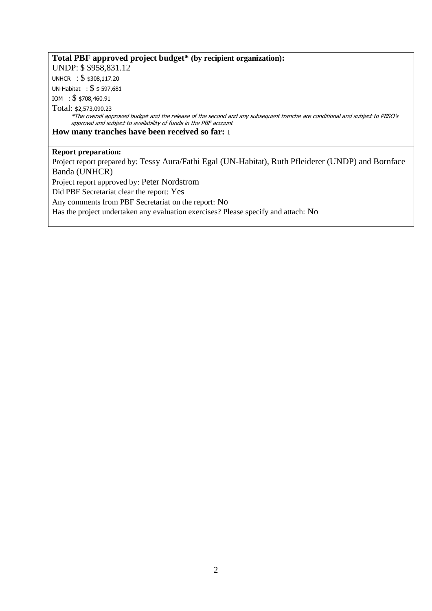# **Total PBF approved project budget\* (by recipient organization):**

UNDP: \$ \$958,831.12

UNHCR : \$ \$308,117.20

UN-Habitat : \$ \$ 597,681

IOM : \$ \$708,460.91

Total: \$2,573,090.23

\*The overall approved budget and the release of the second and any subsequent tranche are conditional and subject to PBSO's approval and subject to availability of funds in the PBF account

**How many tranches have been received so far:** <sup>1</sup>

# **Report preparation:**

Project report prepared by: Tessy Aura/Fathi Egal (UN-Habitat), Ruth Pfleiderer (UNDP) and Bornface Banda (UNHCR) Project report approved by: Peter Nordstrom Did PBF Secretariat clear the report: Yes Any comments from PBF Secretariat on the report: No Has the project undertaken any evaluation exercises? Please specify and attach: No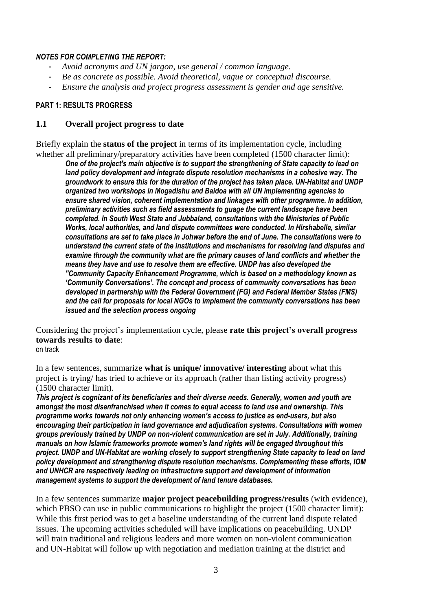## *NOTES FOR COMPLETING THE REPORT:*

- *Avoid acronyms and UN jargon, use general / common language.*
- *Be as concrete as possible. Avoid theoretical, vague or conceptual discourse.*
- *Ensure the analysis and project progress assessment is gender and age sensitive.*

## **PART 1: RESULTS PROGRESS**

# **1.1 Overall project progress to date**

Briefly explain the **status of the project** in terms of its implementation cycle, including whether all preliminary/preparatory activities have been completed (1500 character limit):

*One of the project's main objective is to support the strengthening of State capacity to lead on land policy development and integrate dispute resolution mechanisms in a cohesive way. The groundwork to ensure this for the duration of the project has taken place. UN-Habitat and UNDP organized two workshops in Mogadishu and Baidoa with all UN implementing agencies to ensure shared vision, coherent implementation and linkages with other programme. In addition, preliminary activities such as field assessments to guage the current landscape have been completed. In South West State and Jubbaland, consultations with the Ministeries of Public Works, local authorities, and land dispute committees were conducted. In Hirshabelle, similar consultations are set to take place in Johwar before the end of June. The consultations were to understand the current state of the institutions and mechanisms for resolving land disputes and examine through the community what are the primary causes of land conflicts and whether the means they have and use to resolve them are effective. UNDP has also developed the "Community Capacity Enhancement Programme, which is based on a methodology known as 'Community Conversations'. The concept and process of community conversations has been developed in partnership with the Federal Government (FG) and Federal Member States (FMS) and the call for proposals for local NGOs to implement the community conversations has been issued and the selection process ongoing*

Considering the project's implementation cycle, please **rate this project's overall progress towards results to date**: on track

In a few sentences, summarize **what is unique/ innovative/ interesting** about what this project is trying/ has tried to achieve or its approach (rather than listing activity progress) (1500 character limit).

*This project is cognizant of its beneficiaries and their diverse needs. Generally, women and youth are amongst the most disenfranchised when it comes to equal access to land use and ownership. This programme works towards not only enhancing women's access to justice as end-users, but also encouraging their participation in land governance and adjudication systems. Consultations with women groups previously trained by UNDP on non-violent communication are set in July. Additionally, training manuals on how Islamic frameworks promote women's land rights will be engaged throughout this project. UNDP and UN-Habitat are working closely to support strengthening State capacity to lead on land policy development and strengthening dispute resolution mechanisms. Complementing these efforts, IOM and UNHCR are respectively leading on infrastructure support and development of information management systems to support the development of land tenure databases.*

In a few sentences summarize **major project peacebuilding progress/results** (with evidence), which PBSO can use in public communications to highlight the project (1500 character limit): While this first period was to get a baseline understanding of the current land dispute related issues. The upcoming activities scheduled will have implications on peacebuilding. UNDP will train traditional and religious leaders and more women on non-violent communication and UN-Habitat will follow up with negotiation and mediation training at the district and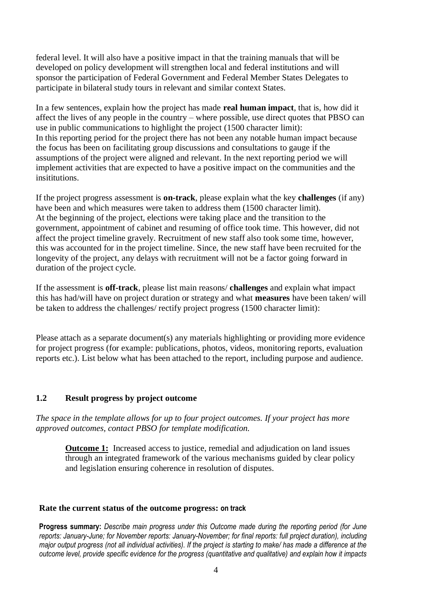federal level. It will also have a positive impact in that the training manuals that will be developed on policy development will strengthen local and federal institutions and will sponsor the participation of Federal Government and Federal Member States Delegates to participate in bilateral study tours in relevant and similar context States.

In a few sentences, explain how the project has made **real human impact**, that is, how did it affect the lives of any people in the country – where possible, use direct quotes that PBSO can use in public communications to highlight the project (1500 character limit): In this reporting period for the project there has not been any notable human impact because the focus has been on facilitating group discussions and consultations to gauge if the assumptions of the project were aligned and relevant. In the next reporting period we will implement activities that are expected to have a positive impact on the communities and the insititutions.

If the project progress assessment is **on-track**, please explain what the key **challenges** (if any) have been and which measures were taken to address them (1500 character limit). At the beginning of the project, elections were taking place and the transition to the government, appointment of cabinet and resuming of office took time. This however, did not affect the project timeline gravely. Recruitment of new staff also took some time, however, this was accounted for in the project timeline. Since, the new staff have been recruited for the longevity of the project, any delays with recruitment will not be a factor going forward in duration of the project cycle.

If the assessment is **off-track**, please list main reasons/ **challenges** and explain what impact this has had/will have on project duration or strategy and what **measures** have been taken/ will be taken to address the challenges/ rectify project progress (1500 character limit):

Please attach as a separate document(s) any materials highlighting or providing more evidence for project progress (for example: publications, photos, videos, monitoring reports, evaluation reports etc.). List below what has been attached to the report, including purpose and audience.

# **1.2 Result progress by project outcome**

*The space in the template allows for up to four project outcomes. If your project has more approved outcomes, contact PBSO for template modification.*

**Outcome 1:** Increased access to justice, remedial and adjudication on land issues through an integrated framework of the various mechanisms guided by clear policy and legislation ensuring coherence in resolution of disputes.

#### **Rate the current status of the outcome progress: on track**

**Progress summary:** *Describe main progress under this Outcome made during the reporting period (for June reports: January-June; for November reports: January-November; for final reports: full project duration), including major output progress (not all individual activities). If the project is starting to make/ has made a difference at the outcome level, provide specific evidence for the progress (quantitative and qualitative) and explain how it impacts*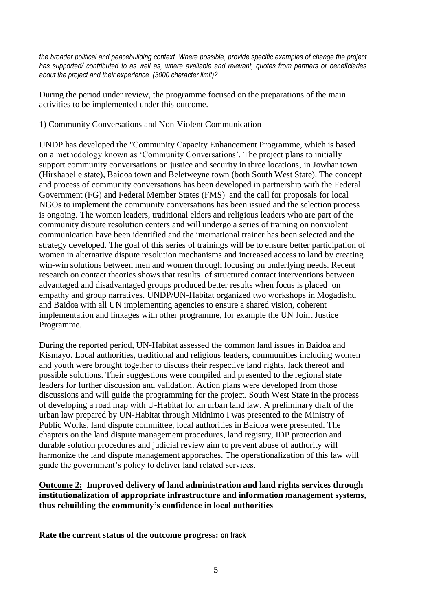*the broader political and peacebuilding context. Where possible, provide specific examples of change the project has supported/ contributed to as well as, where available and relevant, quotes from partners or beneficiaries about the project and their experience. (3000 character limit)?* 

During the period under review, the programme focused on the preparations of the main activities to be implemented under this outcome.

# 1) Community Conversations and Non-Violent Communication

UNDP has developed the "Community Capacity Enhancement Programme, which is based on a methodology known as 'Community Conversations'. The project plans to initially support community conversations on justice and security in three locations, in Jowhar town (Hirshabelle state), Baidoa town and Beletweyne town (both South West State). The concept and process of community conversations has been developed in partnership with the Federal Government (FG) and Federal Member States (FMS) and the call for proposals for local NGOs to implement the community conversations has been issued and the selection process is ongoing. The women leaders, traditional elders and religious leaders who are part of the community dispute resolution centers and will undergo a series of training on nonviolent communication have been identified and the international trainer has been selected and the strategy developed. The goal of this series of trainings will be to ensure better participation of women in alternative dispute resolution mechanisms and increased access to land by creating win-win solutions between men and women through focusing on underlying needs. Recent research on contact theories shows that results of structured contact interventions between advantaged and disadvantaged groups produced better results when focus is placed on empathy and group narratives. UNDP/UN-Habitat organized two workshops in Mogadishu and Baidoa with all UN implementing agencies to ensure a shared vision, coherent implementation and linkages with other programme, for example the UN Joint Justice Programme.

During the reported period, UN-Habitat assessed the common land issues in Baidoa and Kismayo. Local authorities, traditional and religious leaders, communities including women and youth were brought together to discuss their respective land rights, lack thereof and possible solutions. Their suggestions were compiled and presented to the regional state leaders for further discussion and validation. Action plans were developed from those discussions and will guide the programming for the project. South West State in the process of developing a road map with U-Habitat for an urban land law. A preliminary draft of the urban law prepared by UN-Habitat through Midnimo I was presented to the Ministry of Public Works, land dispute committee, local authorities in Baidoa were presented. The chapters on the land dispute management procedures, land registry, IDP protection and durable solution procedures and judicial review aim to prevent abuse of authority will harmonize the land dispute management apporaches. The operationalization of this law will guide the government's policy to deliver land related services.

# **Outcome 2: Improved delivery of land administration and land rights services through institutionalization of appropriate infrastructure and information management systems, thus rebuilding the community's confidence in local authorities**

**Rate the current status of the outcome progress: on track**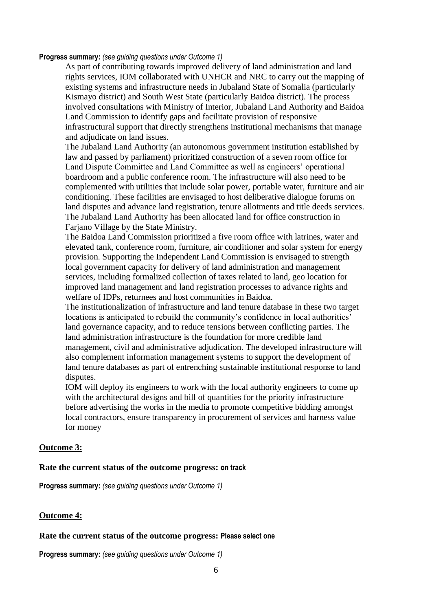#### **Progress summary:** *(see guiding questions under Outcome 1)*

As part of contributing towards improved delivery of land administration and land rights services, IOM collaborated with UNHCR and NRC to carry out the mapping of existing systems and infrastructure needs in Jubaland State of Somalia (particularly Kismayo district) and South West State (particularly Baidoa district). The process involved consultations with Ministry of Interior, Jubaland Land Authority and Baidoa Land Commission to identify gaps and facilitate provision of responsive infrastructural support that directly strengthens institutional mechanisms that manage and adjudicate on land issues.

The Jubaland Land Authority (an autonomous government institution established by law and passed by parliament) prioritized construction of a seven room office for Land Dispute Committee and Land Committee as well as engineers' operational boardroom and a public conference room. The infrastructure will also need to be complemented with utilities that include solar power, portable water, furniture and air conditioning. These facilities are envisaged to host deliberative dialogue forums on land disputes and advance land registration, tenure allotments and title deeds services. The Jubaland Land Authority has been allocated land for office construction in Fariano Village by the State Ministry.

The Baidoa Land Commission prioritized a five room office with latrines, water and elevated tank, conference room, furniture, air conditioner and solar system for energy provision. Supporting the Independent Land Commission is envisaged to strength local government capacity for delivery of land administration and management services, including formalized collection of taxes related to land, geo location for improved land management and land registration processes to advance rights and welfare of IDPs, returnees and host communities in Baidoa.

The institutionalization of infrastructure and land tenure database in these two target locations is anticipated to rebuild the community's confidence in local authorities' land governance capacity, and to reduce tensions between conflicting parties. The land administration infrastructure is the foundation for more credible land management, civil and administrative adjudication. The developed infrastructure will also complement information management systems to support the development of land tenure databases as part of entrenching sustainable institutional response to land disputes.

IOM will deploy its engineers to work with the local authority engineers to come up with the architectural designs and bill of quantities for the priority infrastructure before advertising the works in the media to promote competitive bidding amongst local contractors, ensure transparency in procurement of services and harness value for money

# **Outcome 3:**

# **Rate the current status of the outcome progress: on track**

**Progress summary:** *(see guiding questions under Outcome 1)* 

# **Outcome 4:**

#### **Rate the current status of the outcome progress: Please select one**

**Progress summary:** *(see guiding questions under Outcome 1)*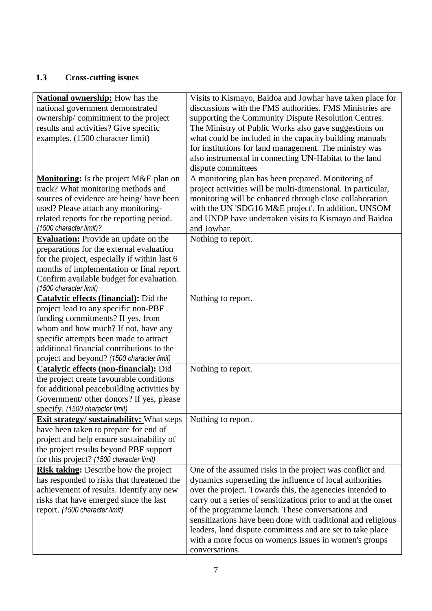# **1.3 Cross-cutting issues**

| <b>National ownership:</b> How has the           | Visits to Kismayo, Baidoa and Jowhar have taken place for      |
|--------------------------------------------------|----------------------------------------------------------------|
| national government demonstrated                 | discussions with the FMS authorities. FMS Ministries are       |
| ownership/commitment to the project              | supporting the Community Dispute Resolution Centres.           |
| results and activities? Give specific            | The Ministry of Public Works also gave suggestions on          |
| examples. (1500 character limit)                 | what could be included in the capacity building manuals        |
|                                                  | for institutions for land management. The ministry was         |
|                                                  | also instrumental in connecting UN-Habitat to the land         |
|                                                  | dispute committees                                             |
| Monitoring: Is the project M&E plan on           | A monitoring plan has been prepared. Monitoring of             |
| track? What monitoring methods and               | project activities will be multi-dimensional. In particular,   |
| sources of evidence are being/have been          | monitoring will be enhanced through close collaboration        |
| used? Please attach any monitoring-              | with the UN 'SDG16 M&E project'. In addition, UNSOM            |
| related reports for the reporting period.        | and UNDP have undertaken visits to Kismayo and Baidoa          |
| (1500 character limit)?                          | and Jowhar.                                                    |
| <b>Evaluation:</b> Provide an update on the      | Nothing to report.                                             |
| preparations for the external evaluation         |                                                                |
|                                                  |                                                                |
| for the project, especially if within last 6     |                                                                |
| months of implementation or final report.        |                                                                |
| Confirm available budget for evaluation.         |                                                                |
| (1500 character limit)                           |                                                                |
| <b>Catalytic effects (financial):</b> Did the    | Nothing to report.                                             |
| project lead to any specific non-PBF             |                                                                |
| funding commitments? If yes, from                |                                                                |
| whom and how much? If not, have any              |                                                                |
| specific attempts been made to attract           |                                                                |
| additional financial contributions to the        |                                                                |
| project and beyond? (1500 character limit)       |                                                                |
| <b>Catalytic effects (non-financial):</b> Did    | Nothing to report.                                             |
| the project create favourable conditions         |                                                                |
| for additional peacebuilding activities by       |                                                                |
| Government/ other donors? If yes, please         |                                                                |
| specify. (1500 character limit)                  |                                                                |
| <b>Exit strategy/ sustainability:</b> What steps | Nothing to report.                                             |
| have been taken to prepare for end of            |                                                                |
| project and help ensure sustainability of        |                                                                |
| the project results beyond PBF support           |                                                                |
| for this project? (1500 character limit)         |                                                                |
| <b>Risk taking:</b> Describe how the project     | One of the assumed risks in the project was conflict and       |
| has responded to risks that threatened the       | dynamics superseding the influence of local authorities        |
| achievement of results. Identify any new         | over the project. Towards this, the agenecies intended to      |
| risks that have emerged since the last           | carry out a series of sensitizations prior to and at the onset |
| report. (1500 character limit)                   | of the programme launch. These conversations and               |
|                                                  | sensitizations have been done with traditional and religious   |
|                                                  | leaders, land dispute committess and are set to take place     |
|                                                  | with a more focus on women; sissues in women's groups          |
|                                                  | conversations.                                                 |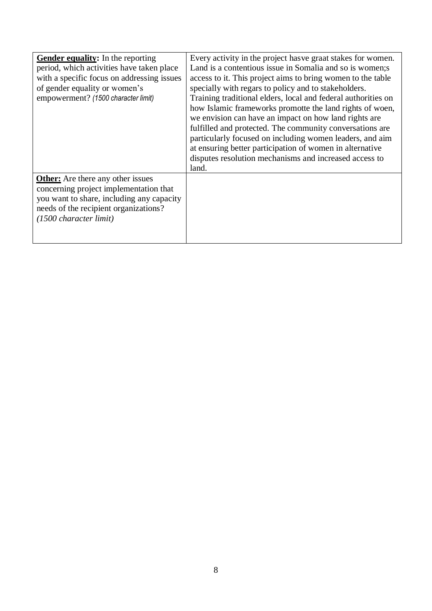| <b>Gender equality:</b> In the reporting<br>period, which activities have taken place<br>with a specific focus on addressing issues<br>of gender equality or women's<br>empowerment? (1500 character limit)  | Every activity in the project has ve graat stakes for women.<br>Land is a contentious issue in Somalia and so is women; s<br>access to it. This project aims to bring women to the table<br>specially with regars to policy and to stakeholders.<br>Training traditional elders, local and federal authorities on<br>how Islamic frameworks promotte the land rights of woen,<br>we envision can have an impact on how land rights are<br>fulfilled and protected. The community conversations are<br>particularly focused on including women leaders, and aim<br>at ensuring better participation of women in alternative<br>disputes resolution mechanisms and increased access to |
|--------------------------------------------------------------------------------------------------------------------------------------------------------------------------------------------------------------|--------------------------------------------------------------------------------------------------------------------------------------------------------------------------------------------------------------------------------------------------------------------------------------------------------------------------------------------------------------------------------------------------------------------------------------------------------------------------------------------------------------------------------------------------------------------------------------------------------------------------------------------------------------------------------------|
| <b>Other:</b> Are there any other issues<br>concerning project implementation that<br>you want to share, including any capacity<br>needs of the recipient organizations?<br>$(1500 \text{ character limit})$ | land.                                                                                                                                                                                                                                                                                                                                                                                                                                                                                                                                                                                                                                                                                |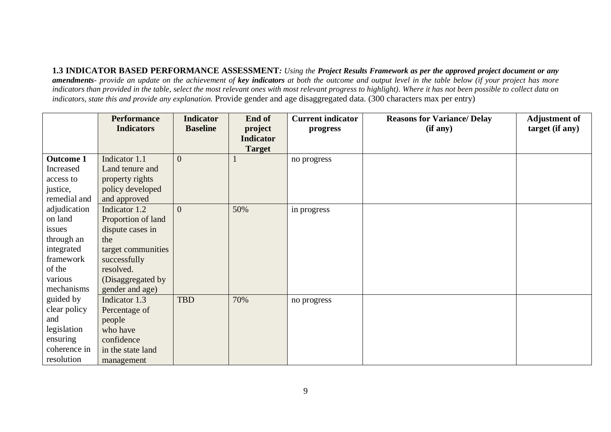**1.3 INDICATOR BASED PERFORMANCE ASSESSMENT***: Using the Project Results Framework as per the approved project document or any amendments- provide an update on the achievement of key indicators at both the outcome and output level in the table below (if your project has more indicators than provided in the table, select the most relevant ones with most relevant progress to highlight). Where it has not been possible to collect data on indicators, state this and provide any explanation.* Provide gender and age disaggregated data. (300 characters max per entry)

|                  | <b>Performance</b> | <b>Indicator</b> | End of           | <b>Current indicator</b> | <b>Reasons for Variance/ Delay</b> | <b>Adjustment of</b> |
|------------------|--------------------|------------------|------------------|--------------------------|------------------------------------|----------------------|
|                  | <b>Indicators</b>  | <b>Baseline</b>  | project          | progress                 | (if any)                           | target (if any)      |
|                  |                    |                  | <b>Indicator</b> |                          |                                    |                      |
|                  |                    |                  | <b>Target</b>    |                          |                                    |                      |
| <b>Outcome 1</b> | Indicator 1.1      | $\overline{0}$   |                  | no progress              |                                    |                      |
| Increased        | Land tenure and    |                  |                  |                          |                                    |                      |
| access to        | property rights    |                  |                  |                          |                                    |                      |
| justice,         | policy developed   |                  |                  |                          |                                    |                      |
| remedial and     | and approved       |                  |                  |                          |                                    |                      |
| adjudication     | Indicator 1.2      | $\Omega$         | 50%              | in progress              |                                    |                      |
| on land          | Proportion of land |                  |                  |                          |                                    |                      |
| issues           | dispute cases in   |                  |                  |                          |                                    |                      |
| through an       | the                |                  |                  |                          |                                    |                      |
| integrated       | target communities |                  |                  |                          |                                    |                      |
| framework        | successfully       |                  |                  |                          |                                    |                      |
| of the           | resolved.          |                  |                  |                          |                                    |                      |
| various          | (Disaggregated by  |                  |                  |                          |                                    |                      |
| mechanisms       | gender and age)    |                  |                  |                          |                                    |                      |
| guided by        | Indicator 1.3      | <b>TBD</b>       | 70%              | no progress              |                                    |                      |
| clear policy     | Percentage of      |                  |                  |                          |                                    |                      |
| and              | people             |                  |                  |                          |                                    |                      |
| legislation      | who have           |                  |                  |                          |                                    |                      |
| ensuring         | confidence         |                  |                  |                          |                                    |                      |
| coherence in     | in the state land  |                  |                  |                          |                                    |                      |
| resolution       | management         |                  |                  |                          |                                    |                      |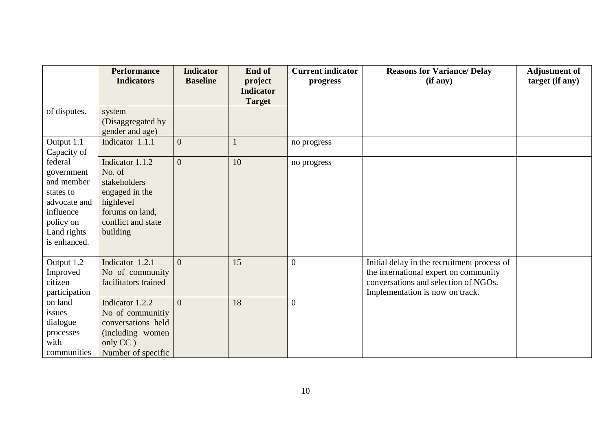|                                                                                                                           | <b>Performance</b><br><b>Indicators</b>                                                                                       | <b>Indicator</b><br><b>Baseline</b> | End of<br>project<br><b>Indicator</b> | <b>Current indicator</b><br>progress | <b>Reasons for Variance/ Delay</b><br>(if any)                                                                                                                  | <b>Adjustment of</b><br>target (if any) |
|---------------------------------------------------------------------------------------------------------------------------|-------------------------------------------------------------------------------------------------------------------------------|-------------------------------------|---------------------------------------|--------------------------------------|-----------------------------------------------------------------------------------------------------------------------------------------------------------------|-----------------------------------------|
|                                                                                                                           |                                                                                                                               |                                     | <b>Target</b>                         |                                      |                                                                                                                                                                 |                                         |
| of disputes.                                                                                                              | system<br>(Disaggregated by<br>gender and age)                                                                                |                                     |                                       |                                      |                                                                                                                                                                 |                                         |
| Output 1.1<br>Capacity of                                                                                                 | Indicator 1.1.1                                                                                                               | $\mathbf{0}$                        |                                       | no progress                          |                                                                                                                                                                 |                                         |
| federal<br>government<br>and member<br>states to<br>advocate and<br>influence<br>policy on<br>Land rights<br>is enhanced. | Indicator 1.1.2<br>No. of<br>stakeholders<br>engaged in the<br>highlevel<br>forums on land,<br>conflict and state<br>building | $\overline{0}$                      | 10                                    | no progress                          |                                                                                                                                                                 |                                         |
| Output 1.2<br>Improved<br>citizen<br>participation                                                                        | Indicator 1.2.1<br>No of community<br>facilitators trained                                                                    | $\Omega$                            | 15                                    | $\overline{0}$                       | Initial delay in the recruitment process of<br>the international expert on community<br>conversations and selection of NGOs.<br>Implementation is now on track. |                                         |
| on land<br>issues<br>dialogue<br>processes<br>with<br>communities                                                         | Indicator 1.2.2<br>No of communitiy<br>conversations held<br>(including women<br>only CC)<br>Number of specific               | $\Omega$                            | 18                                    | $\overline{0}$                       |                                                                                                                                                                 |                                         |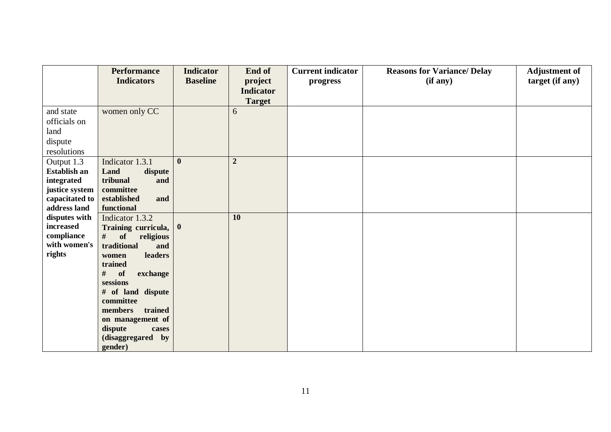|                | <b>Performance</b>             | <b>Indicator</b> | End of           | <b>Current indicator</b> | <b>Reasons for Variance/ Delay</b> | <b>Adjustment of</b> |
|----------------|--------------------------------|------------------|------------------|--------------------------|------------------------------------|----------------------|
|                | <b>Indicators</b>              | <b>Baseline</b>  | project          | progress                 | (if any)                           | target (if any)      |
|                |                                |                  | <b>Indicator</b> |                          |                                    |                      |
|                |                                |                  | <b>Target</b>    |                          |                                    |                      |
| and state      | women only CC                  |                  | 6                |                          |                                    |                      |
| officials on   |                                |                  |                  |                          |                                    |                      |
| land           |                                |                  |                  |                          |                                    |                      |
| dispute        |                                |                  |                  |                          |                                    |                      |
| resolutions    |                                |                  |                  |                          |                                    |                      |
| Output 1.3     | Indicator 1.3.1                | $\bf{0}$         | $\overline{2}$   |                          |                                    |                      |
| Establish an   | Land<br>dispute                |                  |                  |                          |                                    |                      |
| integrated     | tribunal<br>and                |                  |                  |                          |                                    |                      |
| justice system | committee                      |                  |                  |                          |                                    |                      |
| capacitated to | established<br>and             |                  |                  |                          |                                    |                      |
| address land   | functional                     |                  |                  |                          |                                    |                      |
| disputes with  | Indicator 1.3.2                |                  | 10               |                          |                                    |                      |
| increased      | Training curricula, 0          |                  |                  |                          |                                    |                      |
| compliance     | #<br>of<br>religious           |                  |                  |                          |                                    |                      |
| with women's   | traditional<br>and             |                  |                  |                          |                                    |                      |
| rights         | leaders<br>women               |                  |                  |                          |                                    |                      |
|                | trained                        |                  |                  |                          |                                    |                      |
|                | #<br>of<br>exchange            |                  |                  |                          |                                    |                      |
|                | sessions                       |                  |                  |                          |                                    |                      |
|                | # of land dispute<br>committee |                  |                  |                          |                                    |                      |
|                | trained<br>members             |                  |                  |                          |                                    |                      |
|                | on management of               |                  |                  |                          |                                    |                      |
|                | dispute<br>cases               |                  |                  |                          |                                    |                      |
|                | (disaggregared by              |                  |                  |                          |                                    |                      |
|                | gender)                        |                  |                  |                          |                                    |                      |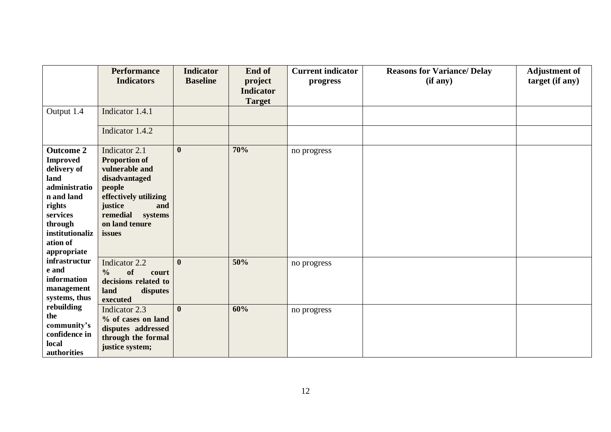|                                                                                                                                                      | <b>Performance</b><br><b>Indicators</b>                                                                                                                                | <b>Indicator</b><br><b>Baseline</b> | End of<br>project<br><b>Indicator</b><br><b>Target</b> | <b>Current indicator</b><br>progress | <b>Reasons for Variance/ Delay</b><br>(if any) | <b>Adjustment of</b><br>target (if any) |
|------------------------------------------------------------------------------------------------------------------------------------------------------|------------------------------------------------------------------------------------------------------------------------------------------------------------------------|-------------------------------------|--------------------------------------------------------|--------------------------------------|------------------------------------------------|-----------------------------------------|
| Output 1.4                                                                                                                                           | Indicator 1.4.1<br>Indicator 1.4.2                                                                                                                                     |                                     |                                                        |                                      |                                                |                                         |
| <b>Outcome 2</b>                                                                                                                                     | Indicator 2.1                                                                                                                                                          | $\boldsymbol{0}$                    | 70%                                                    | no progress                          |                                                |                                         |
| <b>Improved</b><br>delivery of<br>land<br>administratio<br>n and land<br>rights<br>services<br>through<br>institutionaliz<br>ation of<br>appropriate | <b>Proportion of</b><br>vulnerable and<br>disadvantaged<br>people<br>effectively utilizing<br>justice<br>and<br>remedial<br>systems<br>on land tenure<br><i>issues</i> |                                     |                                                        |                                      |                                                |                                         |
| infrastructur<br>e and<br>information<br>management<br>systems, thus<br>rebuilding<br>the<br>community's<br>confidence in<br>local<br>authorities    | Indicator 2.2<br>of<br>$\frac{0}{0}$<br>court<br>decisions related to<br>land<br>disputes<br>executed                                                                  | $\mathbf{0}$                        | 50%                                                    | no progress                          |                                                |                                         |
|                                                                                                                                                      | Indicator 2.3<br>% of cases on land<br>disputes addressed<br>through the formal<br>justice system;                                                                     | $\mathbf{0}$                        | 60%                                                    | no progress                          |                                                |                                         |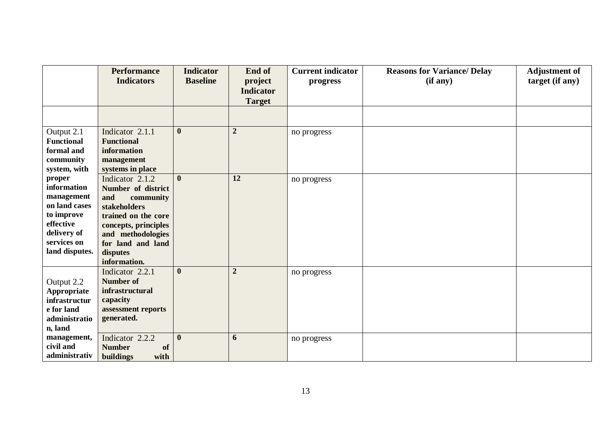|                                 | <b>Performance</b><br><b>Indicators</b>  | <b>Indicator</b><br><b>Baseline</b> | End of<br>project<br><b>Indicator</b> | <b>Current indicator</b><br>progress | <b>Reasons for Variance/ Delay</b><br>(if any) | <b>Adjustment of</b><br>target (if any) |
|---------------------------------|------------------------------------------|-------------------------------------|---------------------------------------|--------------------------------------|------------------------------------------------|-----------------------------------------|
|                                 |                                          |                                     | <b>Target</b>                         |                                      |                                                |                                         |
|                                 |                                          |                                     |                                       |                                      |                                                |                                         |
| Output 2.1                      | Indicator 2.1.1                          | $\mathbf{0}$                        | $\boldsymbol{2}$                      | no progress                          |                                                |                                         |
| <b>Functional</b><br>formal and | <b>Functional</b><br>information         |                                     |                                       |                                      |                                                |                                         |
| community                       | management                               |                                     |                                       |                                      |                                                |                                         |
| system, with                    | systems in place                         |                                     |                                       |                                      |                                                |                                         |
| proper                          | Indicator 2.1.2                          | $\mathbf{0}$                        | 12                                    | no progress                          |                                                |                                         |
| information                     | Number of district                       |                                     |                                       |                                      |                                                |                                         |
| management<br>on land cases     | and<br>community                         |                                     |                                       |                                      |                                                |                                         |
| to improve                      | stakeholders<br>trained on the core      |                                     |                                       |                                      |                                                |                                         |
| effective                       | concepts, principles                     |                                     |                                       |                                      |                                                |                                         |
| delivery of                     | and methodologies                        |                                     |                                       |                                      |                                                |                                         |
| services on                     | for land and land                        |                                     |                                       |                                      |                                                |                                         |
| land disputes.                  | disputes                                 |                                     |                                       |                                      |                                                |                                         |
|                                 | information.                             | $\boldsymbol{0}$                    | $\overline{2}$                        |                                      |                                                |                                         |
|                                 | Indicator 2.2.1<br><b>Number of</b>      |                                     |                                       | no progress                          |                                                |                                         |
| Output 2.2<br>Appropriate       | infrastructural                          |                                     |                                       |                                      |                                                |                                         |
| infrastructur                   | capacity                                 |                                     |                                       |                                      |                                                |                                         |
| e for land                      | assessment reports                       |                                     |                                       |                                      |                                                |                                         |
| administratio                   | generated.                               |                                     |                                       |                                      |                                                |                                         |
| n, land                         |                                          |                                     |                                       |                                      |                                                |                                         |
| management,<br>civil and        | Indicator 2.2.2                          | $\mathbf{0}$                        | 6                                     | no progress                          |                                                |                                         |
| administrativ                   | <b>Number</b><br>of<br>buildings<br>with |                                     |                                       |                                      |                                                |                                         |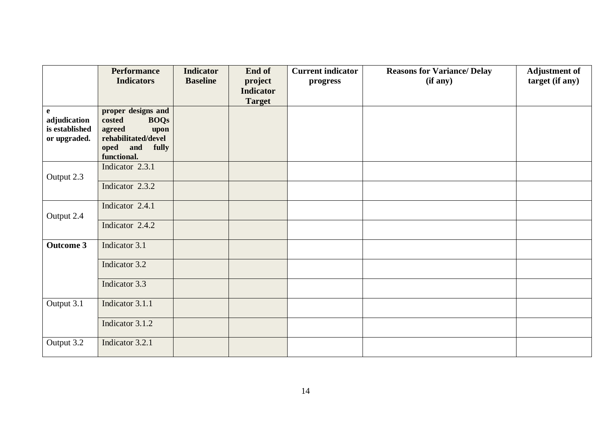|                                                                | <b>Performance</b><br><b>Indicators</b>                                                                                  | <b>Indicator</b><br><b>Baseline</b> | End of<br>project<br><b>Indicator</b><br><b>Target</b> | <b>Current indicator</b><br>progress | <b>Reasons for Variance/ Delay</b><br>(if any) | <b>Adjustment of</b><br>target (if any) |
|----------------------------------------------------------------|--------------------------------------------------------------------------------------------------------------------------|-------------------------------------|--------------------------------------------------------|--------------------------------------|------------------------------------------------|-----------------------------------------|
| $\mathbf{e}$<br>adjudication<br>is established<br>or upgraded. | proper designs and<br>costed<br><b>BOQs</b><br>agreed<br>upon<br>rehabilitated/devel<br>oped and<br>fully<br>functional. |                                     |                                                        |                                      |                                                |                                         |
| Output 2.3                                                     | Indicator 2.3.1                                                                                                          |                                     |                                                        |                                      |                                                |                                         |
|                                                                | Indicator 2.3.2                                                                                                          |                                     |                                                        |                                      |                                                |                                         |
| Output 2.4                                                     | Indicator 2.4.1                                                                                                          |                                     |                                                        |                                      |                                                |                                         |
|                                                                | Indicator 2.4.2                                                                                                          |                                     |                                                        |                                      |                                                |                                         |
| <b>Outcome 3</b>                                               | Indicator 3.1                                                                                                            |                                     |                                                        |                                      |                                                |                                         |
|                                                                | Indicator 3.2                                                                                                            |                                     |                                                        |                                      |                                                |                                         |
|                                                                | Indicator 3.3                                                                                                            |                                     |                                                        |                                      |                                                |                                         |
| Output 3.1                                                     | Indicator 3.1.1                                                                                                          |                                     |                                                        |                                      |                                                |                                         |
|                                                                | Indicator 3.1.2                                                                                                          |                                     |                                                        |                                      |                                                |                                         |
| Output 3.2                                                     | Indicator 3.2.1                                                                                                          |                                     |                                                        |                                      |                                                |                                         |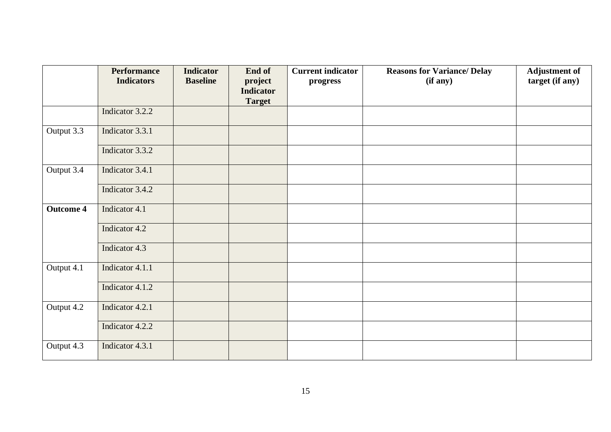|                  | <b>Performance</b><br><b>Indicators</b> | <b>Indicator</b><br><b>Baseline</b> | End of<br>project                 | <b>Current indicator</b><br>progress | <b>Reasons for Variance/ Delay</b><br>(if any) | <b>Adjustment of</b><br>target (if any) |
|------------------|-----------------------------------------|-------------------------------------|-----------------------------------|--------------------------------------|------------------------------------------------|-----------------------------------------|
|                  |                                         |                                     | <b>Indicator</b><br><b>Target</b> |                                      |                                                |                                         |
|                  | Indicator 3.2.2                         |                                     |                                   |                                      |                                                |                                         |
| Output 3.3       | Indicator 3.3.1                         |                                     |                                   |                                      |                                                |                                         |
|                  | Indicator 3.3.2                         |                                     |                                   |                                      |                                                |                                         |
| Output 3.4       | Indicator 3.4.1                         |                                     |                                   |                                      |                                                |                                         |
|                  | Indicator 3.4.2                         |                                     |                                   |                                      |                                                |                                         |
| <b>Outcome 4</b> | Indicator 4.1                           |                                     |                                   |                                      |                                                |                                         |
|                  | Indicator 4.2                           |                                     |                                   |                                      |                                                |                                         |
|                  | Indicator 4.3                           |                                     |                                   |                                      |                                                |                                         |
| Output 4.1       | Indicator 4.1.1                         |                                     |                                   |                                      |                                                |                                         |
|                  | Indicator 4.1.2                         |                                     |                                   |                                      |                                                |                                         |
| Output 4.2       | Indicator 4.2.1                         |                                     |                                   |                                      |                                                |                                         |
|                  | Indicator 4.2.2                         |                                     |                                   |                                      |                                                |                                         |
| Output 4.3       | Indicator 4.3.1                         |                                     |                                   |                                      |                                                |                                         |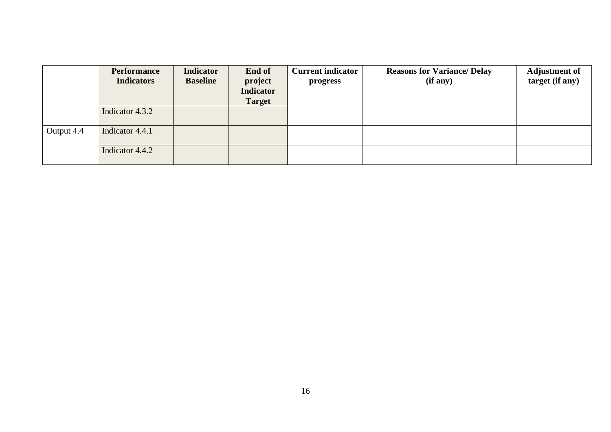|            | <b>Performance</b><br><b>Indicators</b> | <b>Indicator</b><br><b>Baseline</b> | End of<br>project<br><b>Indicator</b><br><b>Target</b> | <b>Current indicator</b><br>progress | <b>Reasons for Variance/ Delay</b><br>(if any) | <b>Adjustment of</b><br>target (if any) |
|------------|-----------------------------------------|-------------------------------------|--------------------------------------------------------|--------------------------------------|------------------------------------------------|-----------------------------------------|
|            | Indicator 4.3.2                         |                                     |                                                        |                                      |                                                |                                         |
| Output 4.4 | Indicator 4.4.1                         |                                     |                                                        |                                      |                                                |                                         |
|            | Indicator 4.4.2                         |                                     |                                                        |                                      |                                                |                                         |